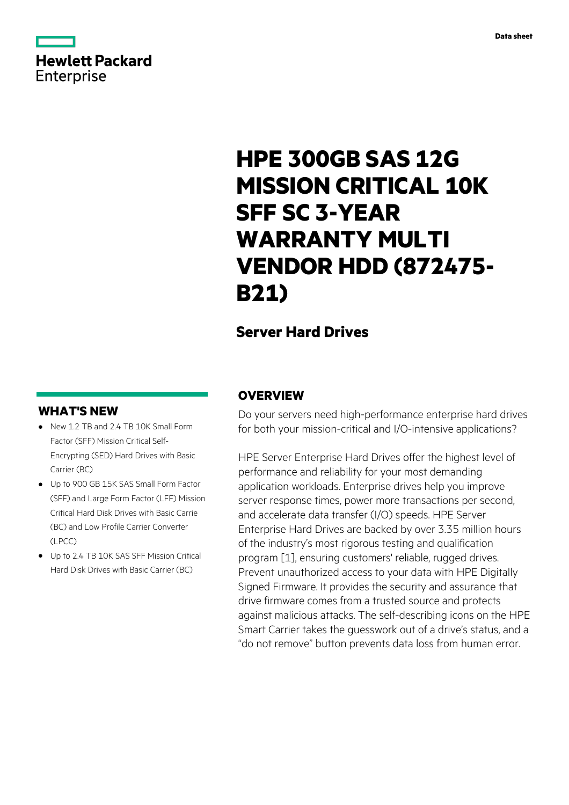# **Hewlett Packard** Enterprise

# **HPE 300GB SAS 12G MISSION CRITICAL 10K SFF SC 3-YEAR WARRANTY MULTI VENDOR HDD (872475- B21)**

# **Server Hard Drives**

### **WHAT'S NEW**

- **·** New 1.2 TB and 2.4 TB 10K Small Form Factor (SFF) Mission Critical Self-Encrypting (SED) Hard Drives with Basic Carrier (BC)
- **·** Up to 900 GB 15K SAS Small Form Factor (SFF) and Large Form Factor (LFF) Mission Critical Hard Disk Drives with Basic Carrie (BC) and Low Profile Carrier Converter (LPCC)
- **·** Up to 2.4 TB 10K SAS SFF Mission Critical Hard Disk Drives with Basic Carrier (BC)

### **OVERVIEW**

Do your servers need high-performance enterprise hard drives for both your mission-critical and I/O-intensive applications?

HPE Server Enterprise Hard Drives offer the highest level of performance and reliability for your most demanding application workloads. Enterprise drives help you improve server response times, power more transactions per second, and accelerate data transfer (I/O) speeds. HPE Server Enterprise Hard Drives are backed by over 3.35 million hours of the industry's most rigorous testing and qualification program [1], ensuring customers' reliable, rugged drives. Prevent unauthorized access to your data with HPE Digitally Signed Firmware. It provides the security and assurance that drive firmware comes from a trusted source and protects against malicious attacks. The self-describing icons on the HPE Smart Carrier takes the guesswork out of a drive's status, and a "do not remove" button prevents data loss from human error.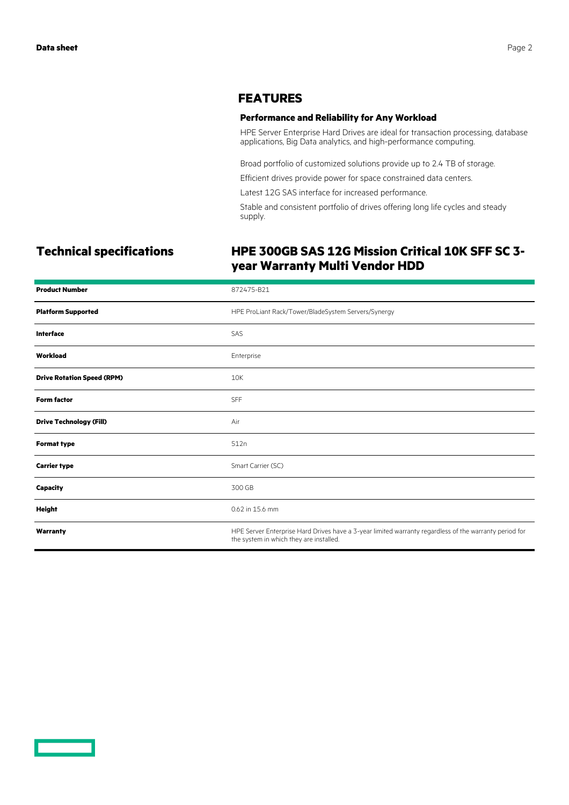### **FEATURES**

### **Performance and Reliability for Any Workload**

HPE Server Enterprise Hard Drives are ideal for transaction processing, database applications, Big Data analytics, and high-performance computing.

Broad portfolio of customized solutions provide up to 2.4 TB of storage.

Efficient drives provide power for space constrained data centers.

Latest 12G SAS interface for increased performance.

Stable and consistent portfolio of drives offering long life cycles and steady supply.

## **Technical specifications HPE 300GB SAS 12G Mission Critical 10K SFF SC 3 year Warranty Multi Vendor HDD**

| <b>Product Number</b>             | 872475-B21                                                                                                                                        |
|-----------------------------------|---------------------------------------------------------------------------------------------------------------------------------------------------|
| <b>Platform Supported</b>         | HPE ProLiant Rack/Tower/BladeSystem Servers/Synergy                                                                                               |
| <b>Interface</b>                  | SAS                                                                                                                                               |
| Workload                          | Enterprise                                                                                                                                        |
| <b>Drive Rotation Speed (RPM)</b> | 10K                                                                                                                                               |
| <b>Form factor</b>                | <b>SFF</b>                                                                                                                                        |
| <b>Drive Technology (Fill)</b>    | Air                                                                                                                                               |
| <b>Format type</b>                | 512n                                                                                                                                              |
| <b>Carrier type</b>               | Smart Carrier (SC)                                                                                                                                |
| <b>Capacity</b>                   | 300 GB                                                                                                                                            |
| <b>Height</b>                     | 0.62 in 15.6 mm                                                                                                                                   |
| Warranty                          | HPE Server Enterprise Hard Drives have a 3-year limited warranty regardless of the warranty period for<br>the system in which they are installed. |